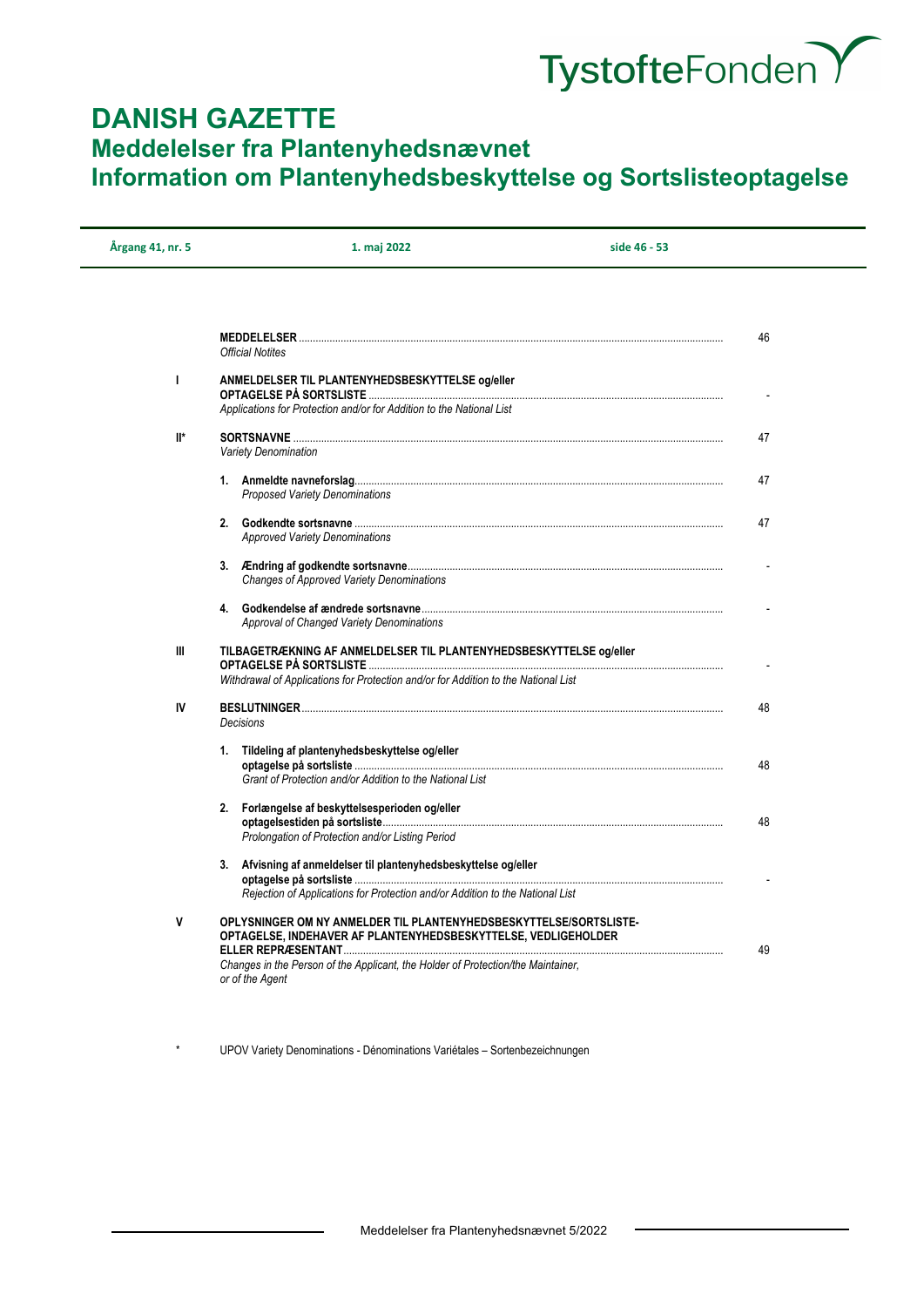# TystofteFonden Y

# **DANISH GAZETTE Meddelelser fra Plantenyhedsnævnet Information om Plantenyhedsbeskyttelse og Sortslisteoptagelse**

| Årgang 41, nr. 5 | 1. maj 2022                                                                                                                                                                                                                                                                                                           | side 46 - 53 |
|------------------|-----------------------------------------------------------------------------------------------------------------------------------------------------------------------------------------------------------------------------------------------------------------------------------------------------------------------|--------------|
|                  |                                                                                                                                                                                                                                                                                                                       |              |
|                  |                                                                                                                                                                                                                                                                                                                       | 46           |
|                  | <b>Official Notites</b>                                                                                                                                                                                                                                                                                               |              |
| п                | ANMELDELSER TIL PLANTENYHEDSBESKYTTELSE og/eller                                                                                                                                                                                                                                                                      |              |
|                  | Applications for Protection and/or for Addition to the National List                                                                                                                                                                                                                                                  |              |
| $\mathbb{I}^*$   |                                                                                                                                                                                                                                                                                                                       | 47           |
|                  | <b>Variety Denomination</b>                                                                                                                                                                                                                                                                                           |              |
|                  | <b>Proposed Variety Denominations</b>                                                                                                                                                                                                                                                                                 | 47           |
|                  | <b>Approved Variety Denominations</b>                                                                                                                                                                                                                                                                                 | 47           |
|                  | <b>Changes of Approved Variety Denominations</b>                                                                                                                                                                                                                                                                      |              |
|                  |                                                                                                                                                                                                                                                                                                                       |              |
|                  | Approval of Changed Variety Denominations                                                                                                                                                                                                                                                                             |              |
| Ш                | TILBAGETRÆKNING AF ANMELDELSER TIL PLANTENYHEDSBESKYTTELSE og/eller                                                                                                                                                                                                                                                   |              |
|                  | Withdrawal of Applications for Protection and/or for Addition to the National List                                                                                                                                                                                                                                    |              |
| IV               | <b>Decisions</b>                                                                                                                                                                                                                                                                                                      | 48           |
|                  |                                                                                                                                                                                                                                                                                                                       |              |
|                  | 1. Tildeling af plantenyhedsbeskyttelse og/eller                                                                                                                                                                                                                                                                      | 48           |
|                  | Grant of Protection and/or Addition to the National List                                                                                                                                                                                                                                                              |              |
|                  | 2. Forlængelse af beskyttelsesperioden og/eller                                                                                                                                                                                                                                                                       |              |
|                  | Prolongation of Protection and/or Listing Period                                                                                                                                                                                                                                                                      | 48           |
|                  | 3. Afvisning af anmeldelser til plantenyhedsbeskyttelse og/eller                                                                                                                                                                                                                                                      |              |
|                  | <u>Arristining aramicidelectric in planter priedelectric regioneric experience operational control of the set of the set of the set of the set of the set of the set of the set of the set of the set of the set of the set of t</u><br>Rejection of Applications for Protection and/or Addition to the National List |              |
| V                | OPLYSNINGER OM NY ANMELDER TIL PLANTENYHEDSBESKYTTELSE/SORTSLISTE-                                                                                                                                                                                                                                                    |              |
|                  | OPTAGELSE, INDEHAVER AF PLANTENYHEDSBESKYTTELSE, VEDLIGEHOLDER                                                                                                                                                                                                                                                        | 49           |
|                  | Changes in the Person of the Applicant, the Holder of Protection/the Maintainer,<br>or of the Agent                                                                                                                                                                                                                   |              |
|                  |                                                                                                                                                                                                                                                                                                                       |              |

UPOV Variety Denominations - Dénominations Variétales – Sortenbezeichnungen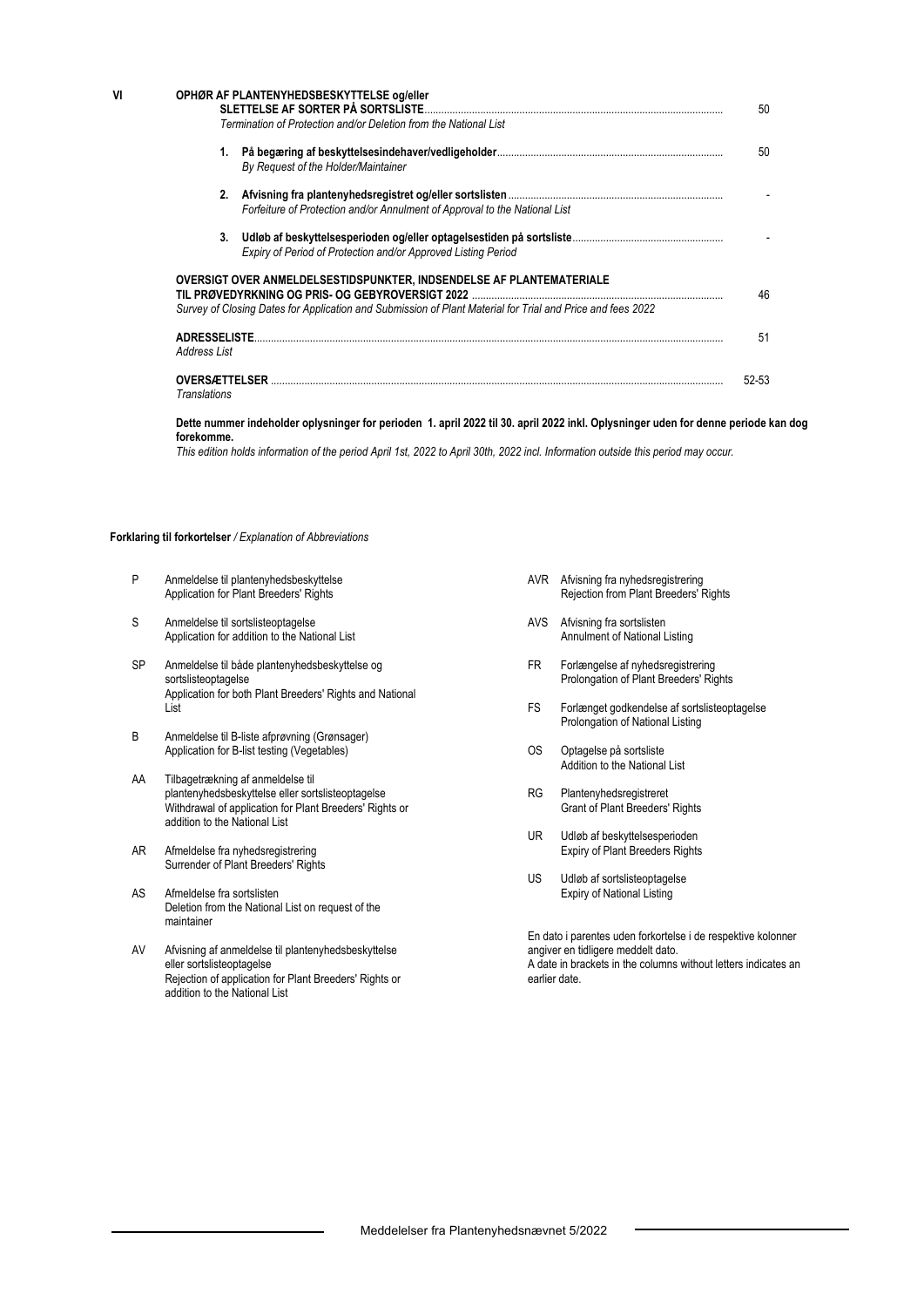| VI | OPHØR AF PLANTENYHEDSBESKYTTELSE og/eller<br>SLETTELSE AF SORTER PÅ SORTSLISTE<br>Termination of Protection and/or Deletion from the National List                                 |       |  |
|----|------------------------------------------------------------------------------------------------------------------------------------------------------------------------------------|-------|--|
|    | 1.<br>By Request of the Holder/Maintainer                                                                                                                                          | 50    |  |
|    | 2.<br>Forfeiture of Protection and/or Annulment of Approval to the National List                                                                                                   |       |  |
|    | Expiry of Period of Protection and/or Approved Listing Period                                                                                                                      |       |  |
|    | OVERSIGT OVER ANMELDELSESTIDSPUNKTER. INDSENDELSE AF PLANTEMATERIALE<br>Survey of Closing Dates for Application and Submission of Plant Material for Trial and Price and fees 2022 | 46    |  |
|    | <b>ADRESSELISTE</b><br>Address List                                                                                                                                                | 51    |  |
|    | <b>OVERSÆTTELSER</b><br>Translations                                                                                                                                               | 52-53 |  |

#### **Dette nummer indeholder oplysninger for perioden 1. april 2022 til 30. april 2022 inkl. Oplysninger uden for denne periode kan dog forekomme.**

*This edition holds information of the period April 1st, 2022 to April 30th, 2022 incl. Information outside this period may occur.* 

#### **Forklaring til forkortelser** */ Explanation of Abbreviations*

- P Anmeldelse til plantenyhedsbeskyttelse Application for Plant Breeders' Rights
- S Anmeldelse til sortslisteoptagelse Application for addition to the National List
- SP Anmeldelse til både plantenyhedsbeskyttelse og sortslisteoptagelse Application for both Plant Breeders' Rights and National List
- B Anmeldelse til B-liste afprøvning (Grønsager) Application for B-list testing (Vegetables)
- AA Tilbagetrækning af anmeldelse til plantenyhedsbeskyttelse eller sortslisteoptagelse Withdrawal of application for Plant Breeders' Rights or addition to the National List
- AR Afmeldelse fra nyhedsregistrering Surrender of Plant Breeders' Rights
- AS Afmeldelse fra sortslisten Deletion from the National List on request of the maintainer
- AV Afvisning af anmeldelse til plantenyhedsbeskyttelse eller sortslisteoptagelse Rejection of application for Plant Breeders' Rights or addition to the National List
- AVR Afvisning fra nyhedsregistrering Rejection from Plant Breeders' Rights
- AVS Afvisning fra sortslisten Annulment of National Listing
- FR Forlængelse af nyhedsregistrering Prolongation of Plant Breeders' Rights
- FS Forlænget godkendelse af sortslisteoptagelse Prolongation of National Listing
- OS Optagelse på sortsliste Addition to the National List
- RG Plantenyhedsregistreret Grant of Plant Breeders' Rights
- UR Udløb af beskyttelsesperioden Expiry of Plant Breeders Rights
- US Udløb af sortslisteoptagelse Expiry of National Listing

En dato i parentes uden forkortelse i de respektive kolonner angiver en tidligere meddelt dato. A date in brackets in the columns without letters indicates an earlier date.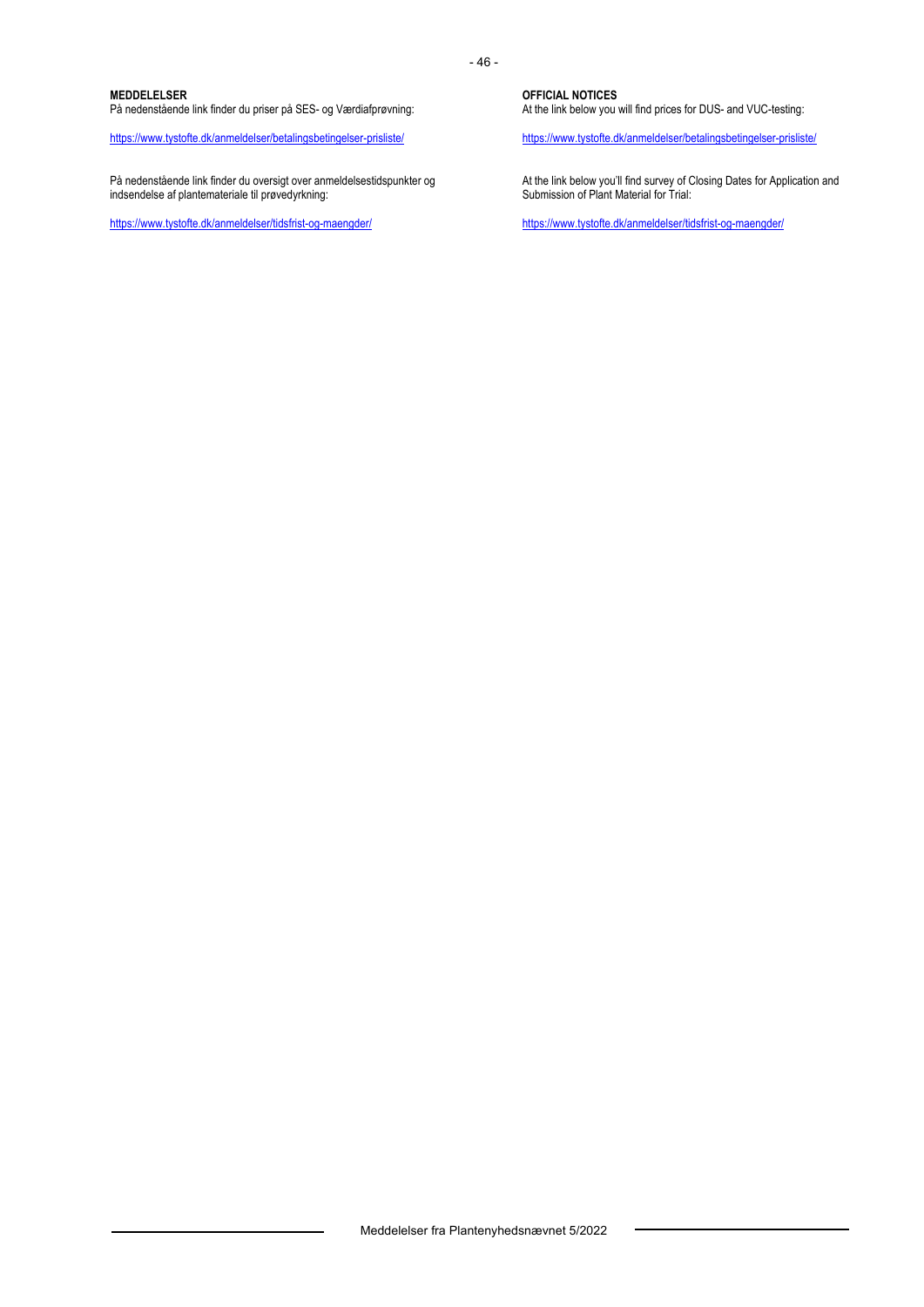#### **MEDDELELSER**

På nedenstående link finder du priser på SES- og Værdiafprøvning:

https://www.tystofte.dk/anmeldelser/betalingsbetingelser-prisliste/

På nedenstående link finder du oversigt over anmeldelsestidspunkter og indsendelse af plantemateriale til prøvedyrkning:

https://www.tystofte.dk/anmeldelser/tidsfrist-og-maengder/

**OFFICIAL NOTICES**  At the link below you will find prices for DUS- and VUC-testing:

https://www.tystofte.dk/anmeldelser/betalingsbetingelser-prisliste/

At the link below you'll find survey of Closing Dates for Application and Submission of Plant Material for Trial:

https://www.tystofte.dk/anmeldelser/tidsfrist-og-maengder/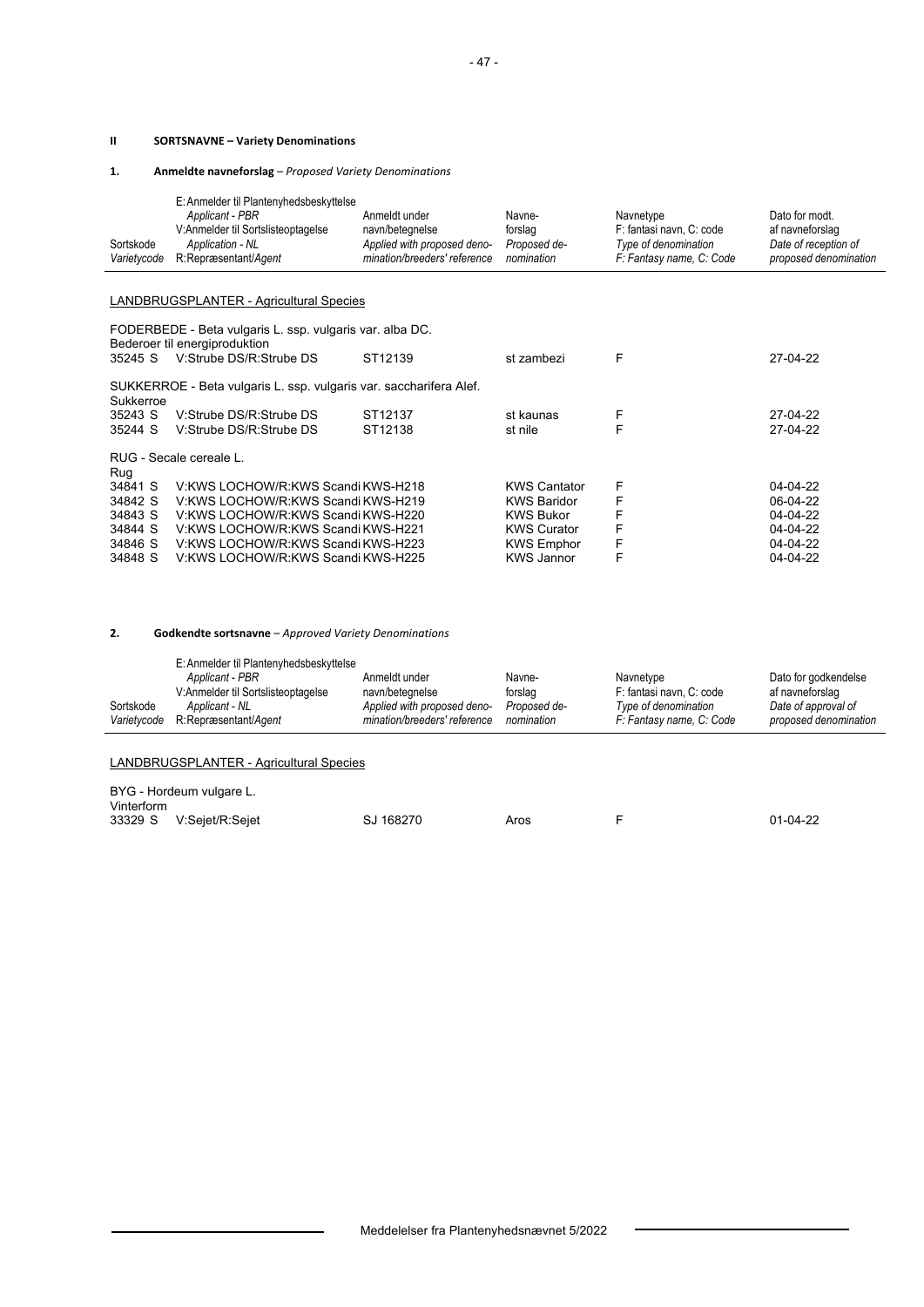#### **II SORTSNAVNE – Variety Denominations**

**1. Anmeldte navneforslag** – *Proposed Variety Denominations*

|             | E: Anmelder til Plantenyhedsbeskyttelse |                              |              |                          |                       |
|-------------|-----------------------------------------|------------------------------|--------------|--------------------------|-----------------------|
|             | Applicant - PBR                         | Anmeldt under                | Navne-       | Navnetype                | Dato for modt.        |
|             | V:Anmelder til Sortslisteoptagelse      | navn/betegnelse              | forslag      | F: fantasi navn. C: code | af navneforslag       |
| Sortskode   | Application - NL                        | Applied with proposed deno-  | Proposed de- | Type of denomination     | Date of reception of  |
| Varietycode | R:Repræsentant/Agent                    | mination/breeders' reference | nomination   | F: Fantasy name, C: Code | proposed denomination |

#### LANDBRUGSPLANTER - Agricultural Species

|           | FODERBEDE - Beta vulgaris L. ssp. vulgaris var. alba DC.<br>Bederoer til energiproduktion |         |                     |   |                |
|-----------|-------------------------------------------------------------------------------------------|---------|---------------------|---|----------------|
| 35245 S   | V. Strube DS/R: Strube DS                                                                 | ST12139 | st zambezi          | F | 27-04-22       |
| Sukkerroe | SUKKERROE - Beta vulgaris L. ssp. vulgaris var. saccharifera Alef.                        |         |                     |   |                |
| 35243 S   | V Strube DS/R Strube DS                                                                   | ST12137 | st kaunas           | F | 27-04-22       |
| 35244 S   | V:Strube DS/R:Strube DS                                                                   | ST12138 | st nile             | F | 27-04-22       |
|           | RUG - Secale cereale L.                                                                   |         |                     |   |                |
| Rug       |                                                                                           |         |                     |   |                |
| 34841 S   | V: KWS LOCHOW/R: KWS Scandi KWS-H218                                                      |         | <b>KWS Cantator</b> | F | 04-04-22       |
| 34842 S   | V: KWS LOCHOW/R: KWS Scandi KWS-H219                                                      |         | <b>KWS Baridor</b>  |   | 06-04-22       |
| 34843 S   | V KWS LOCHOW/R KWS Scandi KWS-H220                                                        |         | <b>KWS Bukor</b>    | F | $04 - 04 - 22$ |
| 34844 S   | V KWS LOCHOW/R KWS Scandi KWS-H221                                                        |         | <b>KWS Curator</b>  | F | $04 - 04 - 22$ |
| 34846 S   | V KWS LOCHOW/R KWS Scandi KWS-H223                                                        |         | <b>KWS Emphor</b>   | F | $04 - 04 - 22$ |
| 34848 S   | V KWS LOCHOW/R KWS Scandi KWS-H225                                                        |         | <b>KWS Jannor</b>   | F | $04 - 04 - 22$ |

#### **2. Godkendte sortsnavne** – *Approved Variety Denominations*

|             | E: Anmelder til Plantenyhedsbeskyttelse |                              |              |                          |                       |
|-------------|-----------------------------------------|------------------------------|--------------|--------------------------|-----------------------|
|             | Applicant - PBR                         | Anmeldt under                | Navne-       | Navnetype                | Dato for godkendelse  |
|             | V:Anmelder til Sortslisteoptagelse      | navn/betegnelse              | forslag      | F: fantasi navn, C: code | af navneforslag       |
| Sortskode   | Applicant - NL                          | Applied with proposed deno-  | Proposed de- | Type of denomination     | Date of approval of   |
| Varietycode | R:Repræsentant/Agent                    | mination/breeders' reference | nomination   | F: Fantasy name, C: Code | proposed denomination |
|             |                                         |                              |              |                          |                       |

#### LANDBRUGSPLANTER - Agricultural Species

| BYG - Hordeum vulgare L.<br>Vinterform |                         |           |      |  |            |
|----------------------------------------|-------------------------|-----------|------|--|------------|
|                                        | 33329 S V:Sejet/R:Sejet | SJ 168270 | Aros |  | $01-04-22$ |

 $\overline{\phantom{a}}$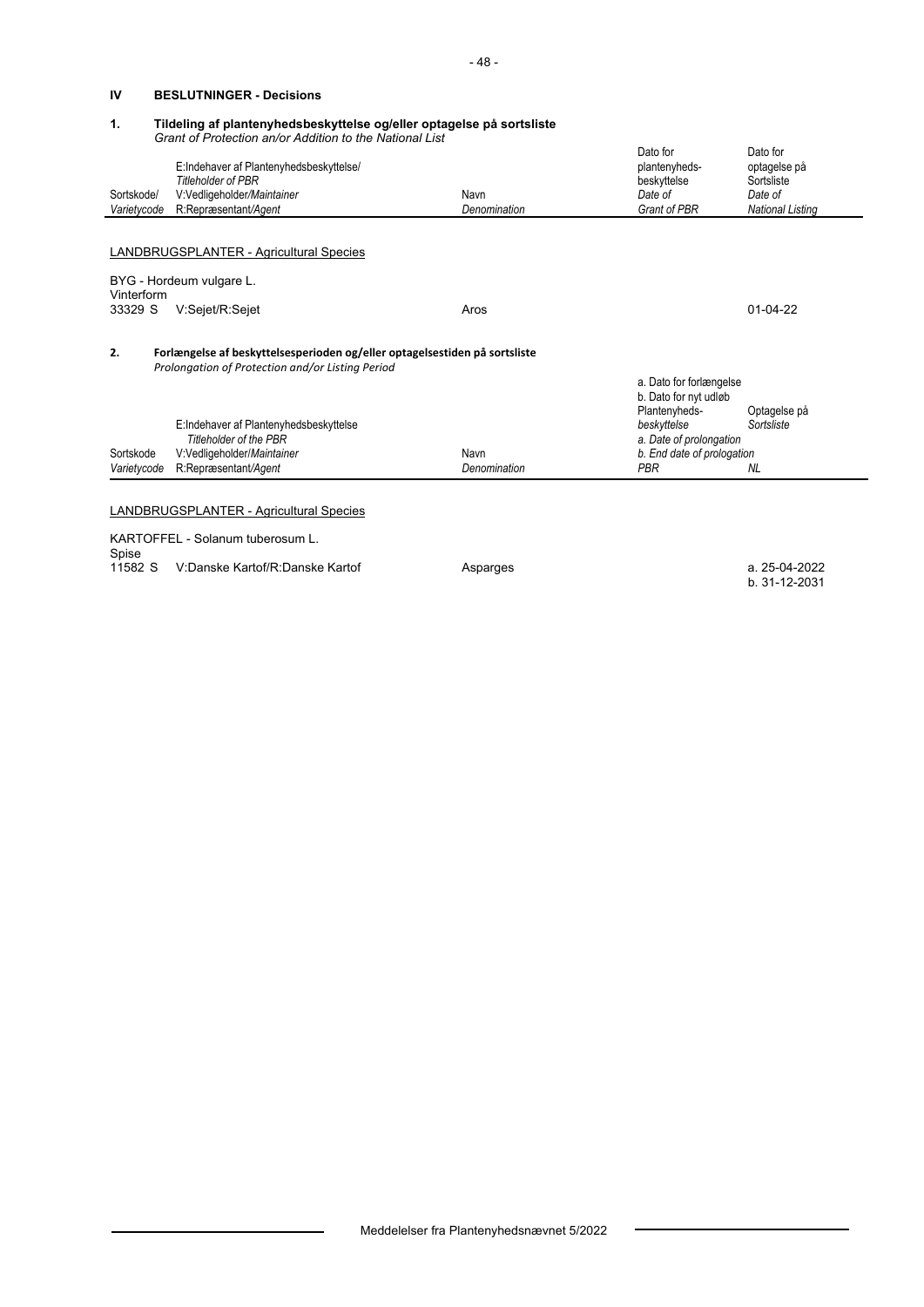#### **IV BESLUTNINGER - Decisions**

#### **1. Tildeling af plantenyhedsbeskyttelse og/eller optagelse på sortsliste**   *Grant of Protection an/or Addition to the National List*

|             |                                                                                                                                |              | Dato for                                         | Dato for                |  |
|-------------|--------------------------------------------------------------------------------------------------------------------------------|--------------|--------------------------------------------------|-------------------------|--|
|             | E:Indehaver af Plantenyhedsbeskyttelse/                                                                                        |              | plantenyheds-                                    | optagelse på            |  |
|             | <b>Titleholder of PBR</b>                                                                                                      |              | beskyttelse                                      | Sortsliste              |  |
| Sortskode/  | V:Vedligeholder/Maintainer                                                                                                     | Navn         | Date of                                          | Date of                 |  |
| Varietycode | R:Repræsentant/Agent                                                                                                           | Denomination | Grant of PBR                                     | <b>National Listing</b> |  |
|             |                                                                                                                                |              |                                                  |                         |  |
|             | LANDBRUGSPLANTER - Agricultural Species                                                                                        |              |                                                  |                         |  |
| Vinterform  | BYG - Hordeum vulgare L.                                                                                                       |              |                                                  |                         |  |
| 33329 S     | V:Sejet/R:Sejet                                                                                                                | Aros         |                                                  | $01-04-22$              |  |
| 2.          | Forlængelse af beskyttelsesperioden og/eller optagelsestiden på sortsliste<br>Prolongation of Protection and/or Listing Period |              |                                                  |                         |  |
|             |                                                                                                                                |              | a. Dato for forlængelse<br>b. Dato for nyt udløb |                         |  |
|             |                                                                                                                                |              | Plantenyheds-                                    | Optagelse på            |  |
|             | E:Indehaver af Plantenyhedsbeskyttelse                                                                                         |              | beskyttelse                                      | Sortsliste              |  |
|             | <b>Titleholder of the PBR</b>                                                                                                  |              | a. Date of prolongation                          |                         |  |
| Sortskode   | V:Vedligeholder/Maintainer                                                                                                     | Navn         | b. End date of prologation                       |                         |  |
| Varietycode | R:Repræsentant/Agent                                                                                                           | Denomination | PBR                                              | <b>NL</b>               |  |
|             |                                                                                                                                |              |                                                  |                         |  |
|             | <b>LANDBRUGSPLANTER - Agricultural Species</b>                                                                                 |              |                                                  |                         |  |
|             |                                                                                                                                |              |                                                  |                         |  |
|             | KARTOFFEL - Solanum tuberosum L.                                                                                               |              |                                                  |                         |  |
| Spise       |                                                                                                                                |              |                                                  |                         |  |

11582 S V:Danske Kartof/R:Danske Kartof **Asparges** b. 31-12-2031

Meddelelser fra Plantenyhedsnævnet 5/2022

 $\overline{a}$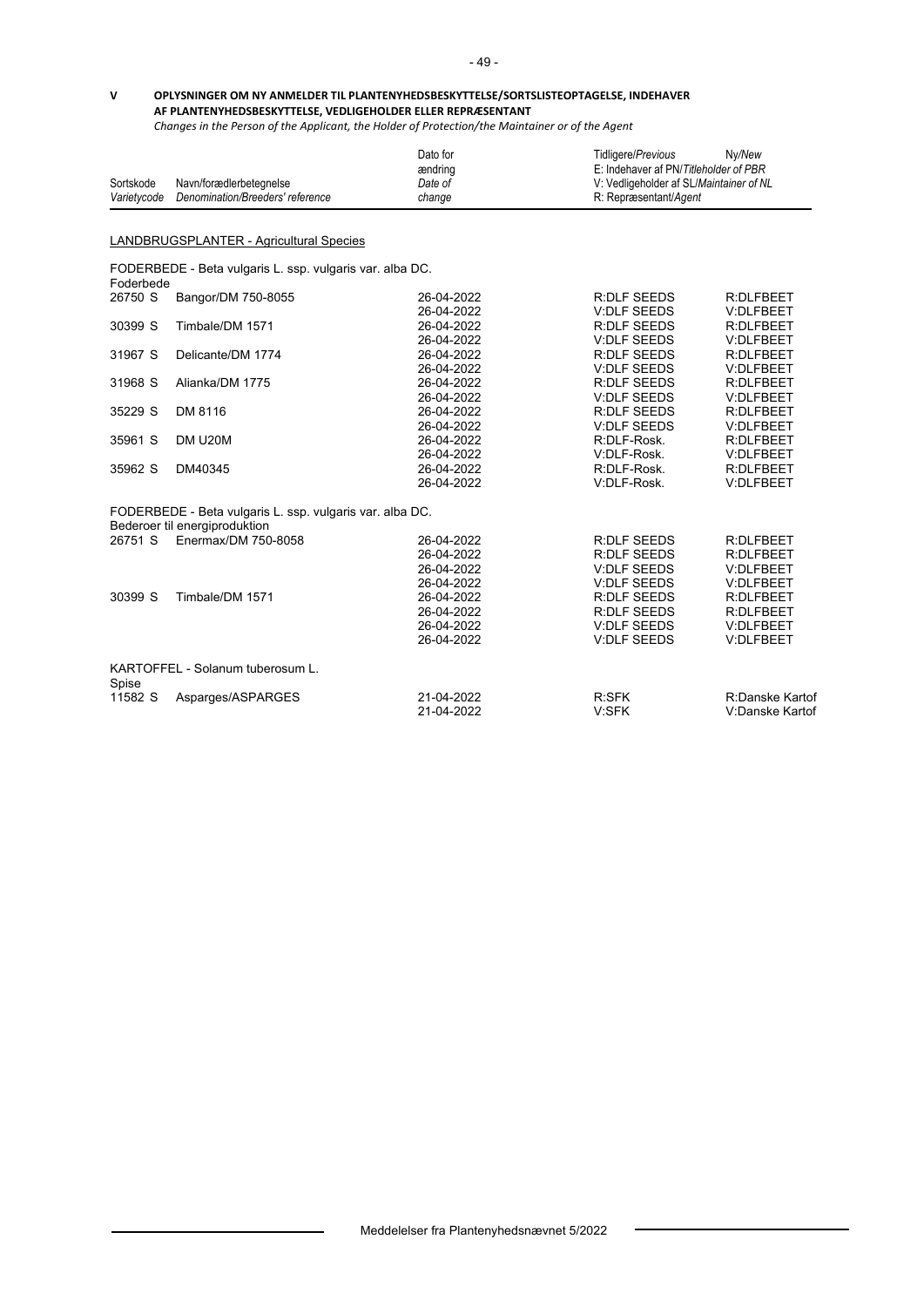#### **V OPLYSNINGER OM NY ANMELDER TIL PLANTENYHEDSBESKYTTELSE/SORTSLISTEOPTAGELSE, INDEHAVER AF PLANTENYHEDSBESKYTTELSE, VEDLIGEHOLDER ELLER REPRÆSENTANT**

*Changes in the Person of the Applicant, the Holder of Protection/the Maintainer or of the Agent*

| Sortskode   | Navn/forædlerbetegnelse                                  | Dato for<br>ændring<br>Date of | Tidligere/Previous<br>Ny/New<br>E: Indehaver af PN/Titleholder of PBR<br>V: Vedligeholder af SL/Maintainer of NL |                  |
|-------------|----------------------------------------------------------|--------------------------------|------------------------------------------------------------------------------------------------------------------|------------------|
| Varietycode | Denomination/Breeders' reference                         | change                         | R: Repræsentant/Agent                                                                                            |                  |
|             |                                                          |                                |                                                                                                                  |                  |
|             | LANDBRUGSPLANTER - Agricultural Species                  |                                |                                                                                                                  |                  |
| Foderbede   | FODERBEDE - Beta vulgaris L. ssp. vulgaris var. alba DC. |                                |                                                                                                                  |                  |
| 26750 S     | Bangor/DM 750-8055                                       | 26-04-2022                     | <b>R:DLF SEEDS</b>                                                                                               | R:DLFBEET        |
|             |                                                          | 26-04-2022                     | <b>V:DLF SEEDS</b>                                                                                               | V:DLFBEET        |
| 30399 S     | Timbale/DM 1571                                          | 26-04-2022                     | <b>R:DLF SEEDS</b>                                                                                               | R:DLFBEET        |
|             |                                                          | 26-04-2022                     | <b>V:DLF SEEDS</b>                                                                                               | V:DLFBEET        |
| 31967 S     | Delicante/DM 1774                                        | 26-04-2022                     | <b>R:DLF SEEDS</b>                                                                                               | R:DLFBEET        |
|             |                                                          | 26-04-2022                     | <b>V:DLF SEEDS</b>                                                                                               | V:DLFBEET        |
| 31968 S     | Alianka/DM 1775                                          | 26-04-2022                     | <b>R:DLF SEEDS</b>                                                                                               | <b>R:DLFBEET</b> |
|             |                                                          | 26-04-2022                     | <b>V:DLF SEEDS</b>                                                                                               | V:DLFBEET        |
| 35229 S     | DM 8116                                                  | 26-04-2022                     | <b>R:DLF SEEDS</b>                                                                                               | R:DLFBEET        |
|             |                                                          | 26-04-2022                     | <b>V:DLF SEEDS</b>                                                                                               | V:DLFBEET        |
| 35961 S     | DM U20M                                                  | 26-04-2022                     | R:DLF-Rosk.                                                                                                      | R:DLFBEET        |
|             |                                                          | 26-04-2022                     | V:DLF-Rosk.                                                                                                      | V:DLFBEET        |
| 35962 S     | DM40345                                                  | 26-04-2022                     | R:DLF-Rosk.                                                                                                      | R:DLFBEET        |
|             |                                                          | 26-04-2022                     | V:DLF-Rosk.                                                                                                      | V:DLFBEET        |
|             | FODERBEDE - Beta vulgaris L. ssp. vulgaris var. alba DC. |                                |                                                                                                                  |                  |
|             | Bederoer til energiproduktion                            |                                |                                                                                                                  |                  |
| 26751 S     | Enermax/DM 750-8058                                      | 26-04-2022                     | <b>R:DLF SEEDS</b>                                                                                               | R:DLFBEET        |
|             |                                                          | 26-04-2022                     | <b>R:DLF SEEDS</b>                                                                                               | R:DLFBEET        |
|             |                                                          | 26-04-2022                     | <b>V:DLF SEEDS</b>                                                                                               | V:DLFBEET        |
|             |                                                          | 26-04-2022                     | <b>V:DLF SEEDS</b>                                                                                               | V:DLFBEET        |
| 30399 S     | Timbale/DM 1571                                          | 26-04-2022                     | <b>R:DLF SEEDS</b>                                                                                               | <b>R:DLFBEET</b> |
|             |                                                          | 26-04-2022                     | <b>R:DLF SEEDS</b>                                                                                               | R:DLFBEET        |
|             |                                                          | 26-04-2022                     | <b>V:DLF SEEDS</b>                                                                                               | V:DLFBEET        |
|             |                                                          | 26-04-2022                     | <b>V:DLF SEEDS</b>                                                                                               | V:DLFBEET        |
| Spise       | KARTOFFEL - Solanum tuberosum L.                         |                                |                                                                                                                  |                  |
| 11582 S     | Asparges/ASPARGES                                        | 21-04-2022                     | R:SFK                                                                                                            | R:Danske Kartof  |
|             |                                                          | 21-04-2022                     | V:SFK                                                                                                            | V:Danske Kartof  |

 $\overline{\phantom{0}}$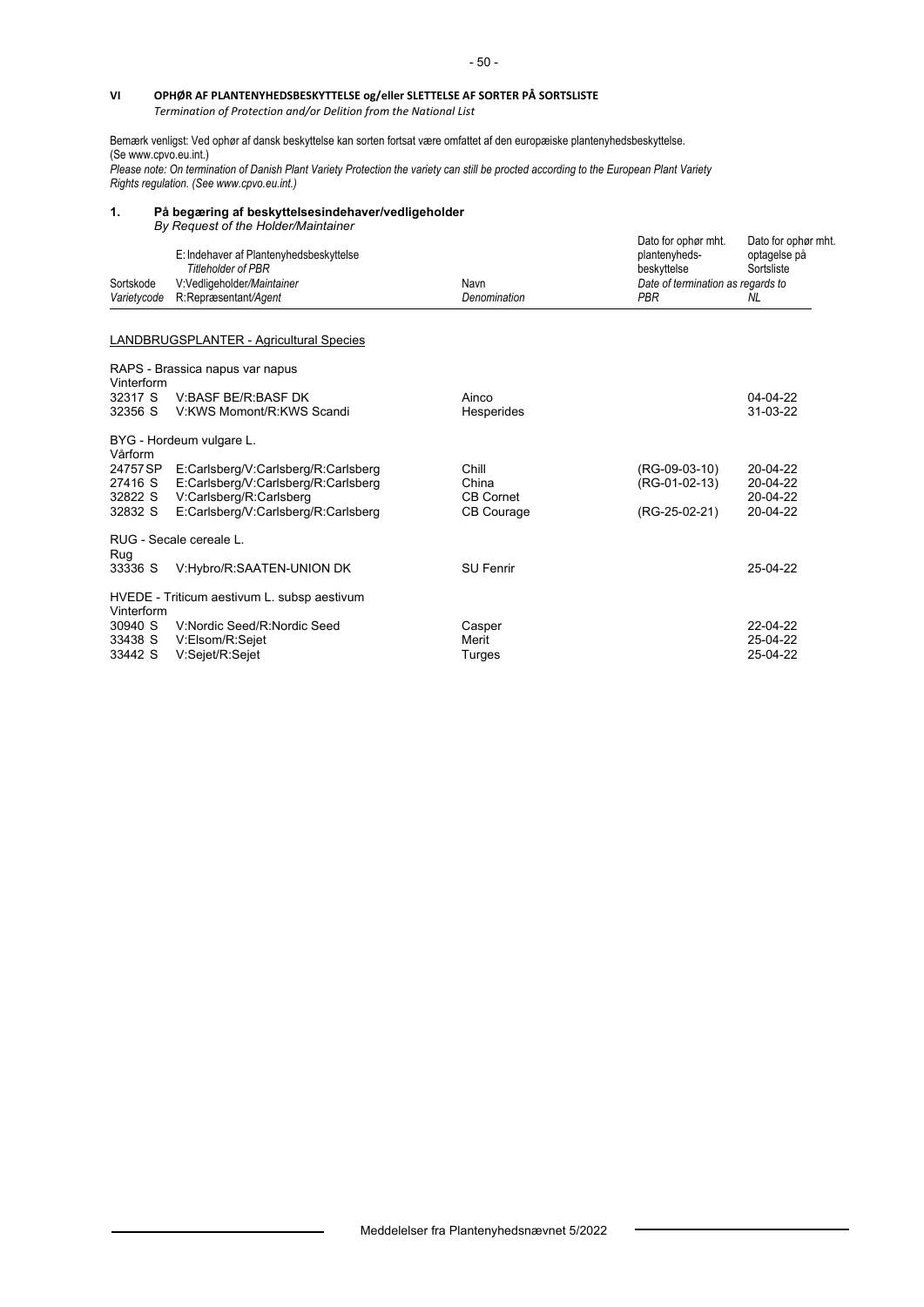## **VI OPHØR AF PLANTENYHEDSBESKYTTELSE og/eller SLETTELSE AF SORTER PÅ SORTSLISTE**

*Termination of Protection and/or Delition from the National List*

Bemærk venligst: Ved ophør af dansk beskyttelse kan sorten fortsat være omfattet af den europæiske plantenyhedsbeskyttelse. (Se www.cpvo.eu.int.)

*Please note: On termination of Danish Plant Variety Protection the variety can still be procted according to the European Plant Variety Rights regulation. (See www.cpvo.eu.int.)* 

#### **1. På begæring af beskyttelsesindehaver/vedligeholder** *By Request of the Holder/Maintainer*

| Sortskode          | E: Indehaver af Plantenyhedsbeskyttelse<br><b>Titleholder of PBR</b><br>V:Vedligeholder/Maintainer | Navn               | Dato for ophør mht.<br>plantenyheds-<br>beskyttelse<br>Date of termination as regards to | Dato for ophør mht.<br>optagelse på<br>Sortsliste |
|--------------------|----------------------------------------------------------------------------------------------------|--------------------|------------------------------------------------------------------------------------------|---------------------------------------------------|
| Varietycode        | R:Repræsentant/Agent                                                                               | Denomination       | <b>PBR</b>                                                                               | NL.                                               |
|                    | <b>LANDBRUGSPLANTER - Agricultural Species</b>                                                     |                    |                                                                                          |                                                   |
| Vinterform         | RAPS - Brassica napus var napus                                                                    |                    |                                                                                          |                                                   |
| 32317 S            | V:BASF BE/R:BASF DK                                                                                | Ainco              |                                                                                          | 04-04-22                                          |
| 32356 S            | V:KWS Momont/R:KWS Scandi                                                                          | Hesperides         |                                                                                          | 31-03-22                                          |
| Vårform            | BYG - Hordeum vulgare L.                                                                           |                    |                                                                                          |                                                   |
| 24757 SP           | E:Carlsberg/V:Carlsberg/R:Carlsberg                                                                | Chill              | (RG-09-03-10)                                                                            | 20-04-22                                          |
| 27416 S            | E.Carlsberg/V.Carlsberg/R.Carlsberg                                                                | China<br>CB Cornet | (RG-01-02-13)                                                                            | 20-04-22<br>20-04-22                              |
| 32822 S<br>32832 S | V:Carlsberg/R:Carlsberg<br>E:Carlsberg/V:Carlsberg/R:Carlsberg                                     | <b>CB Courage</b>  | (RG-25-02-21)                                                                            | 20-04-22                                          |
| Rug                | RUG - Secale cereale L.                                                                            |                    |                                                                                          |                                                   |
| 33336 S            | V:Hybro/R:SAATEN-UNION DK                                                                          | <b>SU Fenrir</b>   |                                                                                          | 25-04-22                                          |
| Vinterform         | HVEDE - Triticum aestivum L. subsp aestivum                                                        |                    |                                                                                          |                                                   |
| 30940 S            | V: Nordic Seed/R: Nordic Seed                                                                      | Casper             |                                                                                          | 22-04-22                                          |
| 33438 S            | V:Elsom/R:Sejet                                                                                    | Merit              |                                                                                          | 25-04-22                                          |
| 33442 S            | V:Sejet/R:Sejet                                                                                    | Turges             |                                                                                          | 25-04-22                                          |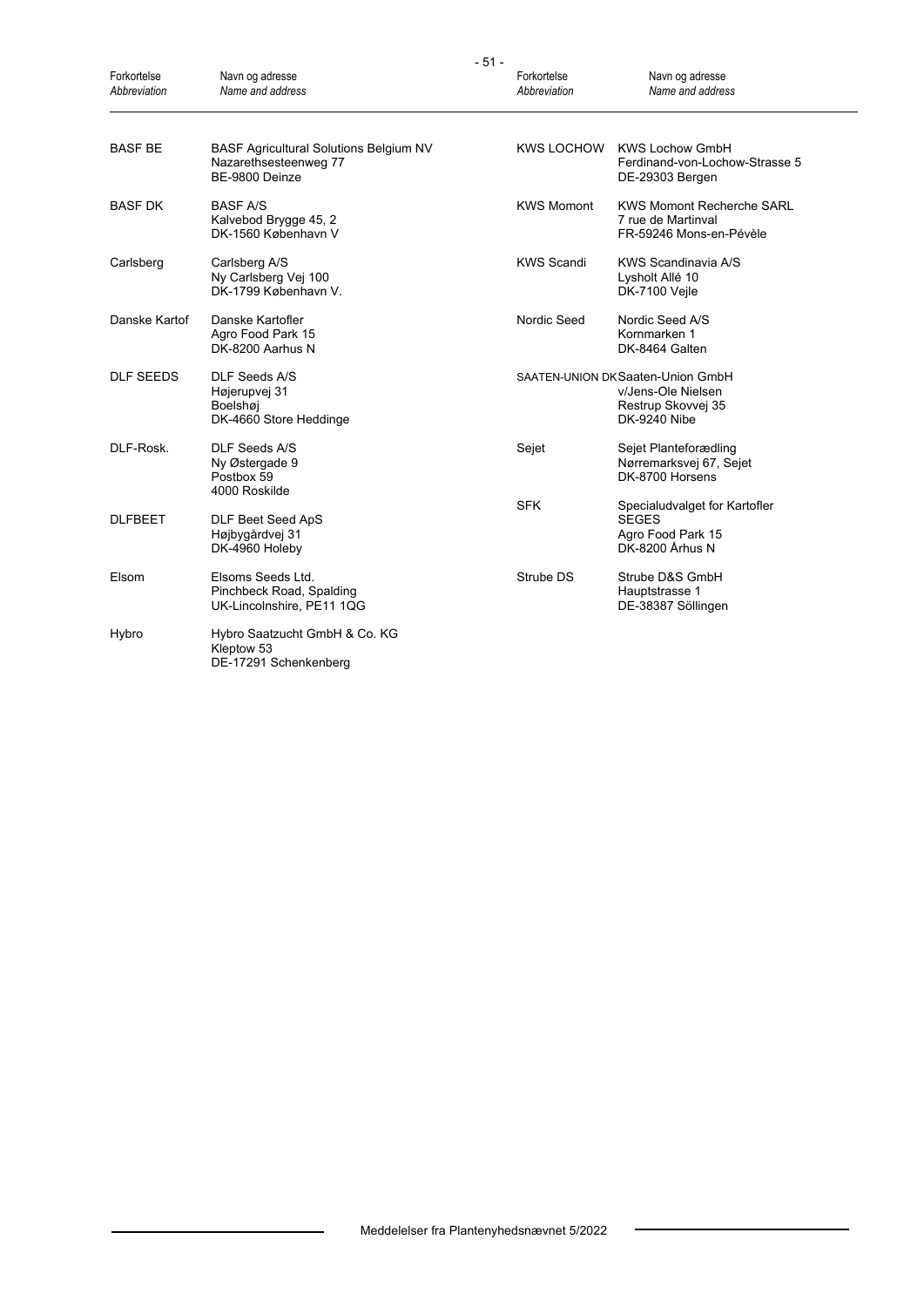| Forkortelse<br>Abbreviation | Navn og adresse<br>Name and address                                                      | Forkortelse<br>Abbreviation | Navn og adresse<br>Name and address                                                                  |
|-----------------------------|------------------------------------------------------------------------------------------|-----------------------------|------------------------------------------------------------------------------------------------------|
| <b>BASF BE</b>              | <b>BASF Agricultural Solutions Belgium NV</b><br>Nazarethsesteenweg 77<br>BE-9800 Deinze | <b>KWS LOCHOW</b>           | <b>KWS Lochow GmbH</b><br>Ferdinand-von-Lochow-Strasse 5<br>DE-29303 Bergen                          |
| <b>BASF DK</b>              | <b>BASF A/S</b><br>Kalvebod Brygge 45, 2<br>DK-1560 København V                          | <b>KWS Momont</b>           | <b>KWS Momont Recherche SARL</b><br>7 rue de Martinval<br>FR-59246 Mons-en-Pévèle                    |
| Carlsberg                   | Carlsberg A/S<br>Ny Carlsberg Vej 100<br>DK-1799 København V.                            | <b>KWS Scandi</b>           | KWS Scandinavia A/S<br>Lysholt Allé 10<br>DK-7100 Veile                                              |
| Danske Kartof               | Danske Kartofler<br>Agro Food Park 15<br>DK-8200 Aarhus N                                | Nordic Seed                 | Nordic Seed A/S<br>Kornmarken 1<br>DK-8464 Galten                                                    |
| <b>DLF SEEDS</b>            | DLF Seeds A/S<br>Højerupvej 31<br>Boelshøj<br>DK-4660 Store Heddinge                     |                             | SAATEN-UNION DK Saaten-Union GmbH<br>v/Jens-Ole Nielsen<br>Restrup Skovvej 35<br><b>DK-9240 Nibe</b> |
| DLF-Rosk.                   | <b>DLF Seeds A/S</b><br>Ny Østergade 9<br>Postbox 59<br>4000 Roskilde                    | Sejet                       | Sejet Planteforædling<br>Nørremarksvej 67, Sejet<br>DK-8700 Horsens                                  |
| <b>DLFBEET</b>              | DLF Beet Seed ApS<br>Højbygårdvej 31<br>DK-4960 Holeby                                   | <b>SFK</b>                  | Specialudvalget for Kartofler<br><b>SEGES</b><br>Agro Food Park 15<br>DK-8200 Århus N                |
| Elsom                       | Elsoms Seeds Ltd.<br>Pinchbeck Road, Spalding<br>UK-Lincolnshire, PE11 1QG               | Strube DS                   | Strube D&S GmbH<br>Hauptstrasse 1<br>DE-38387 Söllingen                                              |
| Hybro                       | Hybro Saatzucht GmbH & Co. KG<br>Kleptow 53<br>DE-17291 Schenkenberg                     |                             |                                                                                                      |

- 51 -

 $\overline{\phantom{a}}$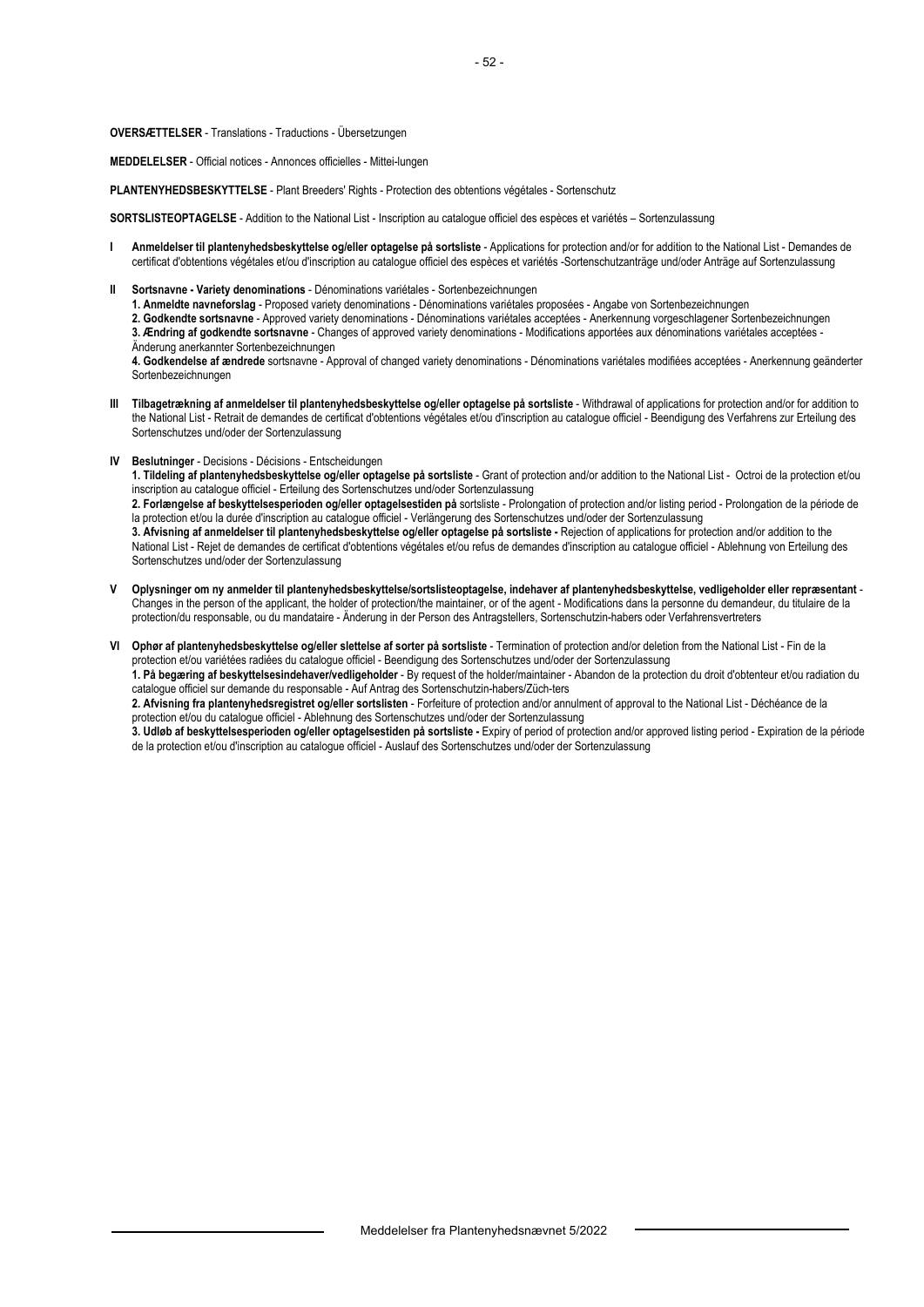#### **OVERSÆTTELSER** - Translations - Traductions - Übersetzungen

**MEDDELELSER** - Official notices - Annonces officielles - Mittei-lungen

**PLANTENYHEDSBESKYTTELSE** - Plant Breeders' Rights - Protection des obtentions végétales - Sortenschutz

**SORTSLISTEOPTAGELSE** - Addition to the National List - Inscription au catalogue officiel des espèces et variétés – Sortenzulassung

- **I Anmeldelser til plantenyhedsbeskyttelse og/eller optagelse på sortsliste** Applications for protection and/or for addition to the National List Demandes de certificat d'obtentions végétales et/ou d'inscription au catalogue officiel des espèces et variétés -Sortenschutzanträge und/oder Anträge auf Sortenzulassung
- **II Sortsnavne Variety denominations** Dénominations variétales Sortenbezeichnungen

 **1. Anmeldte navneforslag** - Proposed variety denominations - Dénominations variétales proposées - Angabe von Sortenbezeichnungen

**2. Godkendte sortsnavne** - Approved variety denominations - Dénominations variétales acceptées - Anerkennung vorgeschlagener Sortenbezeichnungen  **3. Ændring af godkendte sortsnavne** - Changes of approved variety denominations - Modifications apportées aux dénominations variétales acceptées -

Änderung anerkannter Sortenbezeichnungen

 **4. Godkendelse af ændrede** sortsnavne - Approval of changed variety denominations - Dénominations variétales modifiées acceptées - Anerkennung geänderter Sortenbezeichnungen

- **III Tilbagetrækning af anmeldelser til plantenyhedsbeskyttelse og/eller optagelse på sortsliste** Withdrawal of applications for protection and/or for addition to the National List - Retrait de demandes de certificat d'obtentions végétales et/ou d'inscription au catalogue officiel - Beendigung des Verfahrens zur Erteilung des Sortenschutzes und/oder der Sortenzulassung
- **IV Beslutninger** Decisions Décisions Entscheidungen

 **1. Tildeling af plantenyhedsbeskyttelse og/eller optagelse på sortsliste** - Grant of protection and/or addition to the National List - Octroi de la protection et/ou inscription au catalogue officiel - Erteilung des Sortenschutzes und/oder Sortenzulassung

 **2. Forlængelse af beskyttelsesperioden og/eller optagelsestiden på** sortsliste - Prolongation of protection and/or listing period - Prolongation de la période de la protection et/ou la durée d'inscription au catalogue officiel - Verlängerung des Sortenschutzes und/oder der Sortenzulassung

 **3. Afvisning af anmeldelser til plantenyhedsbeskyttelse og/eller optagelse på sortsliste -** Rejection of applications for protection and/or addition to the National List - Rejet de demandes de certificat d'obtentions végétales et/ou refus de demandes d'inscription au catalogue officiel - Ablehnung von Erteilung des Sortenschutzes und/oder der Sortenzulassung

**V Oplysninger om ny anmelder til plantenyhedsbeskyttelse/sortslisteoptagelse, indehaver af plantenyhedsbeskyttelse, vedligeholder eller repræsentant** - Changes in the person of the applicant, the holder of protection/the maintainer, or of the agent - Modifications dans la personne du demandeur, du titulaire de la protection/du responsable, ou du mandataire - Änderung in der Person des Antragstellers, Sortenschutzin-habers oder Verfahrensvertreters

**VI Ophør af plantenyhedsbeskyttelse og/eller slettelse af sorter på sortsliste** - Termination of protection and/or deletion from the National List - Fin de la protection et/ou variétées radiées du catalogue officiel - Beendigung des Sortenschutzes und/oder der Sortenzulassung

 **1. På begæring af beskyttelsesindehaver/vedligeholder** - By request of the holder/maintainer - Abandon de la protection du droit d'obtenteur et/ou radiation du catalogue officiel sur demande du responsable - Auf Antrag des Sortenschutzin-habers/Züch-ters

**2. Afvisning fra plantenyhedsregistret og/eller sortslisten** - Forfeiture of protection and/or annulment of approval to the National List - Déchéance de la protection et/ou du catalogue officiel - Ablehnung des Sortenschutzes und/oder der Sortenzulassung

 **3. Udløb af beskyttelsesperioden og/eller optagelsestiden på sortsliste -** Expiry of period of protection and/or approved listing period - Expiration de la période de la protection et/ou d'inscription au catalogue officiel - Auslauf des Sortenschutzes und/oder der Sortenzulassung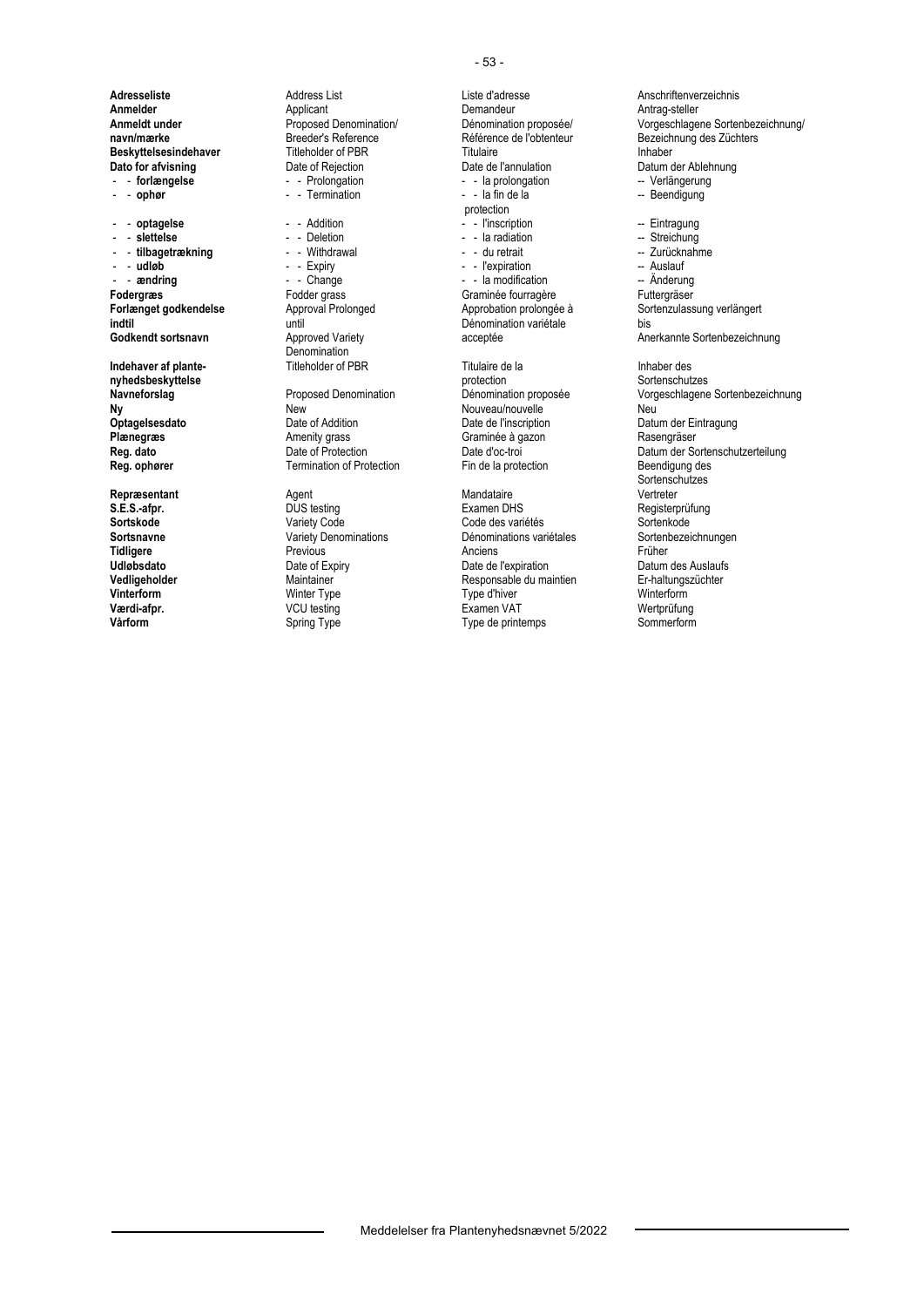**Adresseliste** Address List Liste d'adresse **Anschriftenverzeichnis**<br> **Annelder** Anschriftenverzeichnis Applicant **Anterior Communisty Communisty Communisty Communisty Communisty Commu Anmelder Antrag-steller** Applicant **Antrag-steller Antrag-steller Antrag-steller Antrag-steller Antrag-steller Antrag-steller Antrag-steller Antrag-steller Beskyttelsesindehaver** Titleholder of PBR<br>
Dato for afvisning<br>
Date of Rejection<br>
Date de l'annulation **Dato for afvisning**<br> **Datio for afvisning**<br> **Datio for afvising**<br> **Datio Contract Contract Dation**<br> **Dation**<br> **Dation**<br> **Dation**<br> **Dation**<br> **Dation**<br> **Dation**<br> **Dation**<br> **Dation**<br> **Dation**<br> **Dation**<br> **Dation**<br> **Dation**<br> - - Termination

Denomination<br>Titleholder of PBR

**Ny New** New New Nouveau/nouvelle Neu Neu<br> **Optagelsesdato** Date of Addition Date of Neu Date de l'inscription Datu **Optagelsesdato** Date of Addition Date de l'inscription Datum der Eintragung<br> **Plænegræs** Plate de Date de Amenity grass Craminée à gazon Basengräser Amenity grass Graminée à gazon<br>
Date of Protection<br>
Date d'oc-troi **Termination of Protection** 

**Repræsentant Agent** Agent **Constanting Mandataire S.E.S.-afpr. Agent** DUS testing **CONS CONS** Examen DHS

 - - **forlængelse** - - Prolongation - - la prolongation -- Verlängerung protection<br>
Protection<br>
Protection<br>
Protection<br>
Protection<br>
Protection<br>
Protection<br>
Protection<br>
Protection<br>
Protection - - **optagelse** - - Addition - - l'inscription -- Eintragung - - **slettelse** - - Deletion - - la radiation -- Streichung - - **tilbagetrækning** - - Withdrawal - - du retrait -- Zurücknahme - **udløb** - - Expiry - - Expiration - Nuslauf - Auslauf - Auslauf - Auslauf - Expiration - Auslauf - Auslauf - Auslauf - Anderung - Anderung - Anderung - Anderung - Anderung - Anderung - Anderung - Anderung - Anderung - An - - la modification **Fodergræs** Fodder grass Graminée fourragère Futtergräser<br>Forlænget godkendelse Approval Prolonged Approbation prolongée à Sortenzulass **indtil Christian Christian II and Christian Christian II and Dénomination variétale** bis<br> **Godkendt sortsnavn** Annung Approved Variety Christian Christian Annung Annung Annung Annung Annung Annung Annun **Indehaver af plante-** Titleholder of PBR Titulaire de la Inhaber des<br> **Inhaber des Explores Angle Constants protection**<br>
protection and Internatives Sortenschutzes **nyhedsbeskyttelse** protection Sortenschutzes

**S.E.S.-afpr.** DUS testing Examen DHS Registerprüfung **Sortskode** Variety Code Code des variétés Sortenkode **Sortsnavne** Variety Denominations Dénominations variétales Sorten<br> **Tidligere** Previous Previous Anciens *Anciens* Früher **Tidligere** Previous **Previous** Anciens Anciens **Anciens** Prüher **Udløbsdato Date of Expiry** Date of Expiry Date de l'expiration Datum des Auslaufs<br> **Vedligeholder Datum des Auslaufs Date de Late de Late de Late de Late de Late de Late de Late de Late de Late de**<br> **Percede de Late d Vedligeholder** Maintainer Maintainer Responsable du maintien Er-haltungszüchter Maintainer Er-haltungszüchter<br>20 Marterform Winter Type Type Type d'hiver Mainterform Minterform **Vinterform** Minter Type Type Type Type d'hiver Type d'hiver Winterform **Værdi-afpr.** Method Muslim Community VCU testing Community Examen VAT Array Method Wertprüfung **Vårform** Spring Type Type Type Germitemps Sommerform

**Anmeldt under Anmeldt under** Proposed Denomination/ Dénomination proposée/ Vorgeschlagene Sortenbezeichnung/<br> **navn/mærke Breeder's Reference Breeder's Reference Reférence de l'obtenteur** Bezeichnung des Züchters **navn/mærke** Breeder's Reference Référence de l'obtenteur Bezeichnung des Züchters **Forlænget godkendelse** Approval Prolonged Approbation prolongée à Sortenzulassung verlängert<br> **Approbation prolongée à** Sortenzulassung verlängert<br>
Dénomination variétale bis acceptée **Anerkannte Sortenbezeichnung Navneforslag** Proposed Denomination Dénomination proposée Vorgeschlagene Sortenbezeichnung **Reg. dato** Date of Protection Date d'oc-troi Date d'oc-troi Datum der Sortenschutzerteilung<br> **Reg. ophører** Communistion of Protection Fin de la protection Beendigung des ende and the magnetic method of the Mandataire of the Sortenschutzes (Sortenschutzes Mandataire of the Mandataire of the Mandataire of the Mandataire of the Mandataire of the Mandataire of the Mandataire of the Mandataire